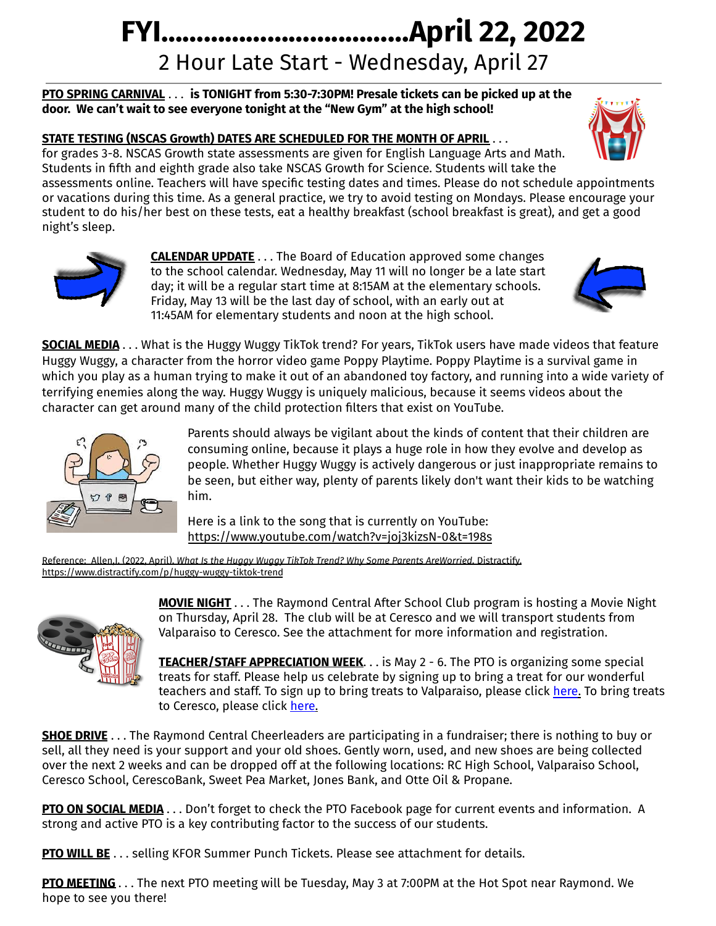## **FYI……………………..………April 22, 2022** 2 Hour Late Start - Wednesday, April 27

**PTO SPRING CARNIVAL** . . . **is TONIGHT from 5:30-7:30PM! Presale tickets can be picked up at the door. We can't wait to see everyone tonight at the "New Gym" at the high school!**

## **STATE TESTING (NSCAS Growth) DATES ARE SCHEDULED FOR THE MONTH OF APRIL** . . .

for grades 3-8. NSCAS Growth state assessments are given for English Language Arts and Math. Students in fifth and eighth grade also take NSCAS Growth for Science. Students will take the

assessments online. Teachers will have specific testing dates and times. Please do not schedule appointments or vacations during this time. As a general practice, we try to avoid testing on Mondays. Please encourage your student to do his/her best on these tests, eat a healthy breakfast (school breakfast is great), and get a good night's sleep.



**CALENDAR UPDATE** . . . The Board of Education approved some changes to the school calendar. Wednesday, May 11 will no longer be a late start day; it will be a regular start time at 8:15AM at the elementary schools. Friday, May 13 will be the last day of school, with an early out at 11:45AM for elementary students and noon at the high school.



**SOCIAL MEDIA** . . . What is the Huggy Wuggy TikTok trend? For years, TikTok users have made videos that feature Huggy Wuggy, a character from the horror video game Poppy Playtime. Poppy Playtime is a survival game in which you play as a human trying to make it out of an abandoned toy factory, and running into a wide variety of terrifying enemies along the way. Huggy Wuggy is uniquely malicious, because it seems videos about the character can get around many of the child protection filters that exist on YouTube.



Parents should always be vigilant about the kinds of content that their children are consuming online, because it plays a huge role in how they evolve and develop as people. Whether Huggy Wuggy is actively dangerous or just inappropriate remains to be seen, but either way, plenty of parents likely don't want their kids to be watching him.

Here is a link to the song that is currently on YouTube: <https://www.youtube.com/watch?v=joj3kizsN-0&t=198s>

Reference: Allen,J. (2022, April). *What Is the Huggy Wuggy TikTok Trend? Why Some Parents AreWorried.* Distractify. <https://www.distractify.com/p/huggy-wuggy-tiktok-trend>



**MOVIE NIGHT** . . . The Raymond Central After School Club program is hosting a Movie Night on Thursday, April 28. The club will be at Ceresco and we will transport students from Valparaiso to Ceresco. See the attachment for more information and registration.

**TEACHER/STAFF APPRECIATION WEEK**. . . is May 2 - 6. The PTO is organizing some special treats for staff. Please help us celebrate by signing up to bring a treat for our wonderful teachers and staff. To sign up to bring treats to Valparaiso, please click [here.](https://www.signupgenius.com/go/20F0C4FA8A62CA4FF2-teacher) To bring treats to Ceresco, please click [here.](https://www.signupgenius.com/go/20F0C4FA8A62CA4FF2-teacher1)

**SHOE DRIVE** . . . The Raymond Central Cheerleaders are participating in a fundraiser; there is nothing to buy or sell, all they need is your support and your old shoes. Gently worn, used, and new shoes are being collected over the next 2 weeks and can be dropped off at the following locations: RC High School, Valparaiso School, Ceresco School, CerescoBank, Sweet Pea Market, Jones Bank, and Otte Oil & Propane.

**PTO ON SOCIAL MEDIA** . . . Don't forget to check the PTO Facebook page for current events and information. A strong and active PTO is a key contributing factor to the success of our students.

**PTO WILL BE** . . . selling KFOR Summer Punch Tickets. Please see attachment for details.

**PTO MEETING** . . . The next PTO meeting will be Tuesday, May 3 at 7:00PM at the Hot Spot near Raymond. We hope to see you there!